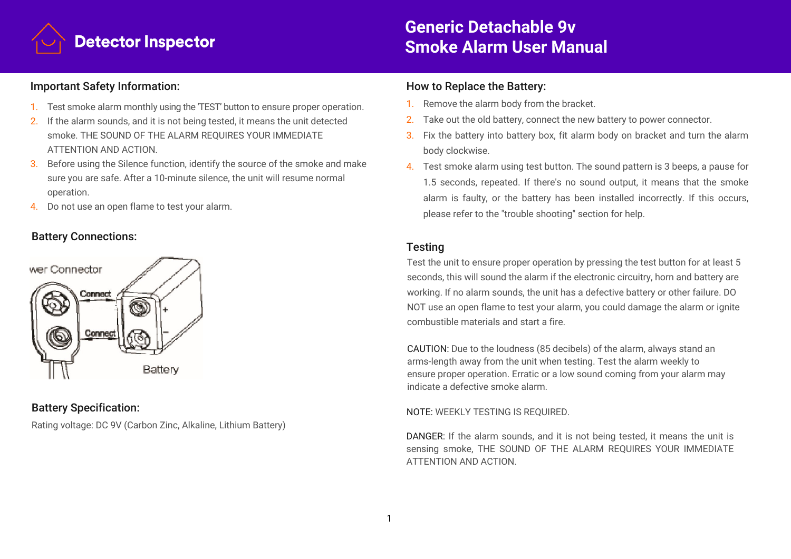

# **Generic Detachable 9v Smoke Alarm User Manual**

### Important Safety Information:

- 1. Test smoke alarm monthly using the 'TEST' button to ensure proper operation.
- 2. If the alarm sounds, and it is not being tested, it means the unit detected smoke. THE SOUND OF THE ALARM REQUIRES YOUR IMMEDIATE ATTENTION AND ACTION.
- 3. Before using the Silence function, identify the source of the smoke and make sure you are safe. After a 10-minute silence, the unit will resume normal operation.
- 4. Do not use an open flame to test your alarm.

## Battery Connections:



# Battery Specification:

Rating voltage: DC 9V (Carbon Zinc, Alkaline, Lithium Battery)

#### How to Replace the Battery:

- 1. Remove the alarm body from the bracket.
- 2. Take out the old battery, connect the new battery to power connector.
- 3. Fix the battery into battery box, fit alarm body on bracket and turn the alarm body clockwise.
- 4. Test smoke alarm using test button. The sound pattern is 3 beeps, a pause for 1.5 seconds, repeated. If there's no sound output, it means that the smoke alarm is faulty, or the battery has been installed incorrectly. If this occurs, please refer to the "trouble shooting" section for help.

## **Testing**

Test the unit to ensure proper operation by pressing the test button for at least 5 seconds, this will sound the alarm if the electronic circuitry, horn and battery are working. If no alarm sounds, the unit has a defective battery or other failure. DO NOT use an open flame to test your alarm, you could damage the alarm or ignite combustible materials and start a fire.

CAUTION: Due to the loudness (85 decibels) of the alarm, always stand an arms-length away from the unit when testing. Test the alarm weekly to ensure proper operation. Erratic or a low sound coming from your alarm may indicate a defective smoke alarm.

#### NOTE: WEEKLY TESTING IS REQUIRED.

DANGER: If the alarm sounds, and it is not being tested, it means the unit is sensing smoke, THE SOUND OF THE ALARM REQUIRES YOUR IMMEDIATE ATTENTION AND ACTION.